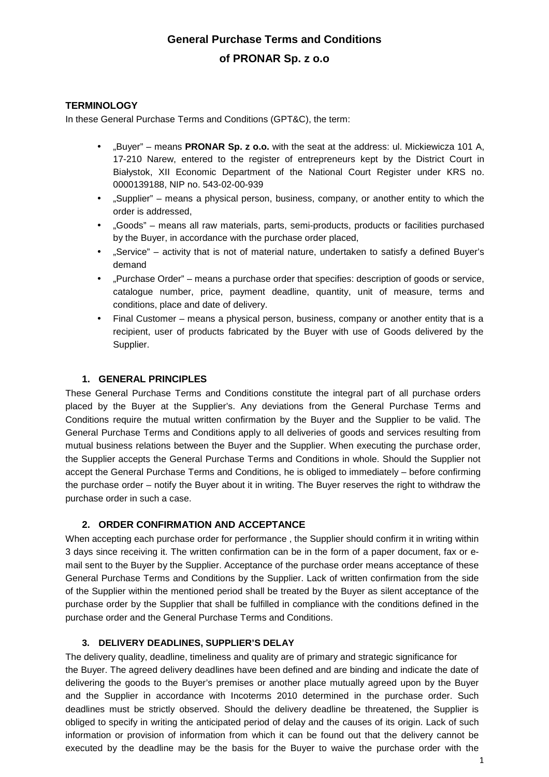# **General Purchase Terms and Conditions of PRONAR Sp. z o.o**

# **TERMINOLOGY**

In these General Purchase Terms and Conditions (GPT&C), the term:

- "Buyer" means **PRONAR Sp. z o.o.** with the seat at the address: ul. Mickiewicza 101 A, 17-210 Narew, entered to the register of entrepreneurs kept by the District Court in Białystok, XII Economic Department of the National Court Register under KRS no. 0000139188, NIP no. 543-02-00-939
- "Supplier" means a physical person, business, company, or another entity to which the order is addressed,
- "Goods" means all raw materials, parts, semi-products, products or facilities purchased by the Buyer, in accordance with the purchase order placed,
- "Service" activity that is not of material nature, undertaken to satisfy a defined Buyer's demand
- "Purchase Order" means a purchase order that specifies: description of goods or service, catalogue number, price, payment deadline, quantity, unit of measure, terms and conditions, place and date of delivery.
- Final Customer means a physical person, business, company or another entity that is a recipient, user of products fabricated by the Buyer with use of Goods delivered by the Supplier.

## **1. GENERAL PRINCIPLES**

These General Purchase Terms and Conditions constitute the integral part of all purchase orders placed by the Buyer at the Supplier's. Any deviations from the General Purchase Terms and Conditions require the mutual written confirmation by the Buyer and the Supplier to be valid. The General Purchase Terms and Conditions apply to all deliveries of goods and services resulting from mutual business relations between the Buyer and the Supplier. When executing the purchase order, the Supplier accepts the General Purchase Terms and Conditions in whole. Should the Supplier not accept the General Purchase Terms and Conditions, he is obliged to immediately – before confirming the purchase order – notify the Buyer about it in writing. The Buyer reserves the right to withdraw the purchase order in such a case.

## **2. ORDER CONFIRMATION AND ACCEPTANCE**

When accepting each purchase order for performance , the Supplier should confirm it in writing within 3 days since receiving it. The written confirmation can be in the form of a paper document, fax or email sent to the Buyer by the Supplier. Acceptance of the purchase order means acceptance of these General Purchase Terms and Conditions by the Supplier. Lack of written confirmation from the side of the Supplier within the mentioned period shall be treated by the Buyer as silent acceptance of the purchase order by the Supplier that shall be fulfilled in compliance with the conditions defined in the purchase order and the General Purchase Terms and Conditions.

#### **3. DELIVERY DEADLINES, SUPPLIER'S DELAY**

The delivery quality, deadline, timeliness and quality are of primary and strategic significance for the Buyer. The agreed delivery deadlines have been defined and are binding and indicate the date of delivering the goods to the Buyer's premises or another place mutually agreed upon by the Buyer and the Supplier in accordance with Incoterms 2010 determined in the purchase order. Such deadlines must be strictly observed. Should the delivery deadline be threatened, the Supplier is obliged to specify in writing the anticipated period of delay and the causes of its origin. Lack of such information or provision of information from which it can be found out that the delivery cannot be executed by the deadline may be the basis for the Buyer to waive the purchase order with the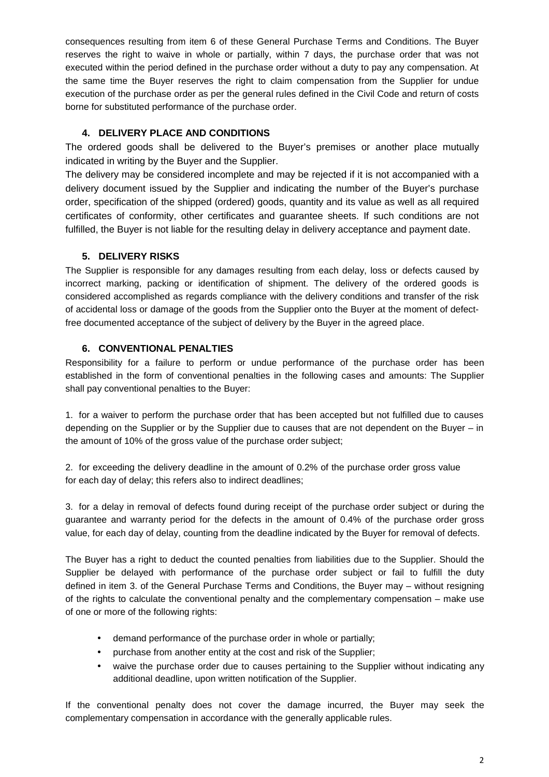consequences resulting from item 6 of these General Purchase Terms and Conditions. The Buyer reserves the right to waive in whole or partially, within 7 days, the purchase order that was not executed within the period defined in the purchase order without a duty to pay any compensation. At the same time the Buyer reserves the right to claim compensation from the Supplier for undue execution of the purchase order as per the general rules defined in the Civil Code and return of costs borne for substituted performance of the purchase order.

# **4. DELIVERY PLACE AND CONDITIONS**

The ordered goods shall be delivered to the Buyer's premises or another place mutually indicated in writing by the Buyer and the Supplier.

The delivery may be considered incomplete and may be rejected if it is not accompanied with a delivery document issued by the Supplier and indicating the number of the Buyer's purchase order, specification of the shipped (ordered) goods, quantity and its value as well as all required certificates of conformity, other certificates and guarantee sheets. If such conditions are not fulfilled, the Buyer is not liable for the resulting delay in delivery acceptance and payment date.

# **5. DELIVERY RISKS**

The Supplier is responsible for any damages resulting from each delay, loss or defects caused by incorrect marking, packing or identification of shipment. The delivery of the ordered goods is considered accomplished as regards compliance with the delivery conditions and transfer of the risk of accidental loss or damage of the goods from the Supplier onto the Buyer at the moment of defectfree documented acceptance of the subject of delivery by the Buyer in the agreed place.

# **6. CONVENTIONAL PENALTIES**

Responsibility for a failure to perform or undue performance of the purchase order has been established in the form of conventional penalties in the following cases and amounts: The Supplier shall pay conventional penalties to the Buyer:

1. for a waiver to perform the purchase order that has been accepted but not fulfilled due to causes depending on the Supplier or by the Supplier due to causes that are not dependent on the Buyer – in the amount of 10% of the gross value of the purchase order subject;

2. for exceeding the delivery deadline in the amount of 0.2% of the purchase order gross value for each day of delay; this refers also to indirect deadlines;

3. for a delay in removal of defects found during receipt of the purchase order subject or during the guarantee and warranty period for the defects in the amount of 0.4% of the purchase order gross value, for each day of delay, counting from the deadline indicated by the Buyer for removal of defects.

The Buyer has a right to deduct the counted penalties from liabilities due to the Supplier. Should the Supplier be delayed with performance of the purchase order subject or fail to fulfill the duty defined in item 3. of the General Purchase Terms and Conditions, the Buyer may – without resigning of the rights to calculate the conventional penalty and the complementary compensation – make use of one or more of the following rights:

- demand performance of the purchase order in whole or partially;
- purchase from another entity at the cost and risk of the Supplier;
- waive the purchase order due to causes pertaining to the Supplier without indicating any additional deadline, upon written notification of the Supplier.

If the conventional penalty does not cover the damage incurred, the Buyer may seek the complementary compensation in accordance with the generally applicable rules.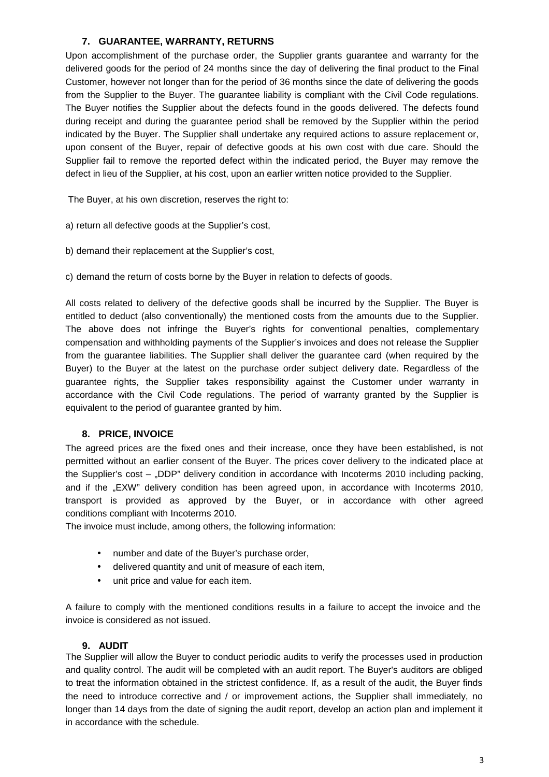# **7. GUARANTEE, WARRANTY, RETURNS**

Upon accomplishment of the purchase order, the Supplier grants guarantee and warranty for the delivered goods for the period of 24 months since the day of delivering the final product to the Final Customer, however not longer than for the period of 36 months since the date of delivering the goods from the Supplier to the Buyer. The guarantee liability is compliant with the Civil Code regulations. The Buyer notifies the Supplier about the defects found in the goods delivered. The defects found during receipt and during the guarantee period shall be removed by the Supplier within the period indicated by the Buyer. The Supplier shall undertake any required actions to assure replacement or, upon consent of the Buyer, repair of defective goods at his own cost with due care. Should the Supplier fail to remove the reported defect within the indicated period, the Buyer may remove the defect in lieu of the Supplier, at his cost, upon an earlier written notice provided to the Supplier.

The Buyer, at his own discretion, reserves the right to:

- a) return all defective goods at the Supplier's cost,
- b) demand their replacement at the Supplier's cost,

c) demand the return of costs borne by the Buyer in relation to defects of goods.

All costs related to delivery of the defective goods shall be incurred by the Supplier. The Buyer is entitled to deduct (also conventionally) the mentioned costs from the amounts due to the Supplier. The above does not infringe the Buyer's rights for conventional penalties, complementary compensation and withholding payments of the Supplier's invoices and does not release the Supplier from the guarantee liabilities. The Supplier shall deliver the guarantee card (when required by the Buyer) to the Buyer at the latest on the purchase order subject delivery date. Regardless of the guarantee rights, the Supplier takes responsibility against the Customer under warranty in accordance with the Civil Code regulations. The period of warranty granted by the Supplier is equivalent to the period of guarantee granted by him.

## **8. PRICE, INVOICE**

The agreed prices are the fixed ones and their increase, once they have been established, is not permitted without an earlier consent of the Buyer. The prices cover delivery to the indicated place at the Supplier's cost – "DDP" delivery condition in accordance with Incoterms 2010 including packing, and if the "EXW" delivery condition has been agreed upon, in accordance with Incoterms 2010, transport is provided as approved by the Buyer, or in accordance with other agreed conditions compliant with Incoterms 2010.

The invoice must include, among others, the following information:

- number and date of the Buyer's purchase order,
- delivered quantity and unit of measure of each item,
- unit price and value for each item.

A failure to comply with the mentioned conditions results in a failure to accept the invoice and the invoice is considered as not issued.

#### **9. AUDIT**

The Supplier will allow the Buyer to conduct periodic audits to verify the processes used in production and quality control. The audit will be completed with an audit report. The Buyer's auditors are obliged to treat the information obtained in the strictest confidence. If, as a result of the audit, the Buyer finds the need to introduce corrective and / or improvement actions, the Supplier shall immediately, no longer than 14 days from the date of signing the audit report, develop an action plan and implement it in accordance with the schedule.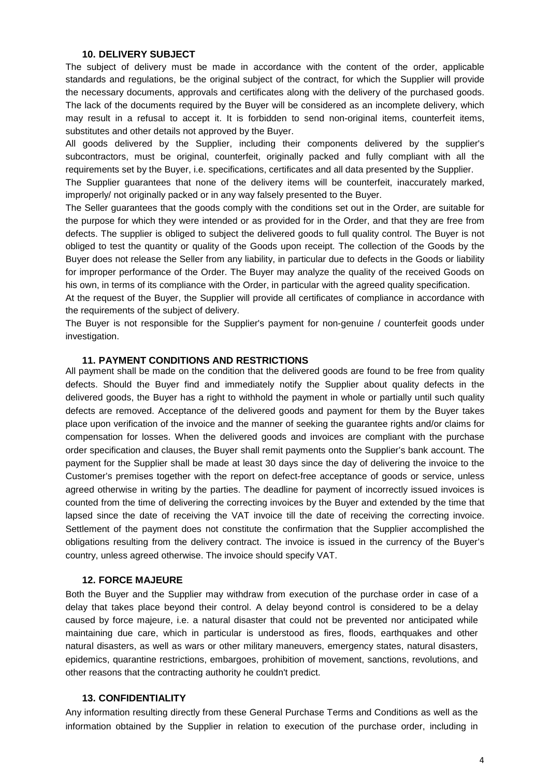#### **10. DELIVERY SUBJECT**

The subject of delivery must be made in accordance with the content of the order, applicable standards and regulations, be the original subject of the contract, for which the Supplier will provide the necessary documents, approvals and certificates along with the delivery of the purchased goods. The lack of the documents required by the Buyer will be considered as an incomplete delivery, which may result in a refusal to accept it. It is forbidden to send non-original items, counterfeit items, substitutes and other details not approved by the Buyer.

All goods delivered by the Supplier, including their components delivered by the supplier's subcontractors, must be original, counterfeit, originally packed and fully compliant with all the requirements set by the Buyer, i.e. specifications, certificates and all data presented by the Supplier.

The Supplier guarantees that none of the delivery items will be counterfeit, inaccurately marked, improperly/ not originally packed or in any way falsely presented to the Buyer.

The Seller guarantees that the goods comply with the conditions set out in the Order, are suitable for the purpose for which they were intended or as provided for in the Order, and that they are free from defects. The supplier is obliged to subject the delivered goods to full quality control. The Buyer is not obliged to test the quantity or quality of the Goods upon receipt. The collection of the Goods by the Buyer does not release the Seller from any liability, in particular due to defects in the Goods or liability for improper performance of the Order. The Buyer may analyze the quality of the received Goods on his own, in terms of its compliance with the Order, in particular with the agreed quality specification.

At the request of the Buyer, the Supplier will provide all certificates of compliance in accordance with the requirements of the subject of delivery.

The Buyer is not responsible for the Supplier's payment for non-genuine / counterfeit goods under investigation.

#### **11. PAYMENT CONDITIONS AND RESTRICTIONS**

All payment shall be made on the condition that the delivered goods are found to be free from quality defects. Should the Buyer find and immediately notify the Supplier about quality defects in the delivered goods, the Buyer has a right to withhold the payment in whole or partially until such quality defects are removed. Acceptance of the delivered goods and payment for them by the Buyer takes place upon verification of the invoice and the manner of seeking the guarantee rights and/or claims for compensation for losses. When the delivered goods and invoices are compliant with the purchase order specification and clauses, the Buyer shall remit payments onto the Supplier's bank account. The payment for the Supplier shall be made at least 30 days since the day of delivering the invoice to the Customer's premises together with the report on defect-free acceptance of goods or service, unless agreed otherwise in writing by the parties. The deadline for payment of incorrectly issued invoices is counted from the time of delivering the correcting invoices by the Buyer and extended by the time that lapsed since the date of receiving the VAT invoice till the date of receiving the correcting invoice. Settlement of the payment does not constitute the confirmation that the Supplier accomplished the obligations resulting from the delivery contract. The invoice is issued in the currency of the Buyer's country, unless agreed otherwise. The invoice should specify VAT.

#### **12. FORCE MAJEURE**

Both the Buyer and the Supplier may withdraw from execution of the purchase order in case of a delay that takes place beyond their control. A delay beyond control is considered to be a delay caused by force majeure, i.e. a natural disaster that could not be prevented nor anticipated while maintaining due care, which in particular is understood as fires, floods, earthquakes and other natural disasters, as well as wars or other military maneuvers, emergency states, natural disasters, epidemics, quarantine restrictions, embargoes, prohibition of movement, sanctions, revolutions, and other reasons that the contracting authority he couldn't predict.

#### **13. CONFIDENTIALITY**

Any information resulting directly from these General Purchase Terms and Conditions as well as the information obtained by the Supplier in relation to execution of the purchase order, including in